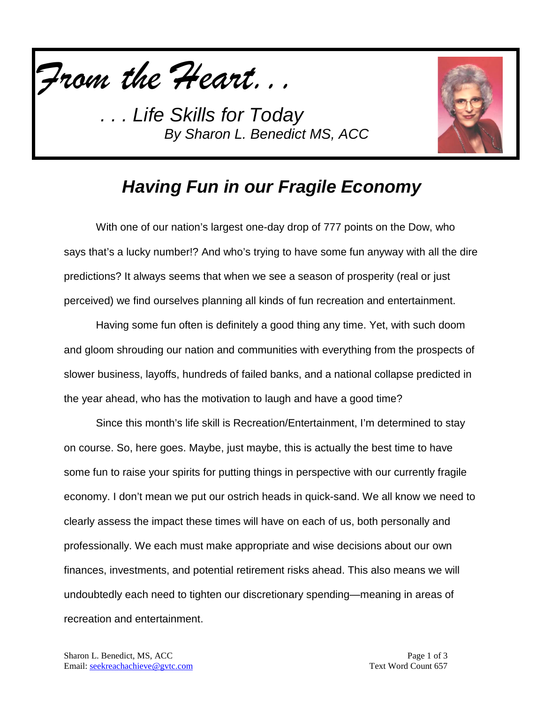



### *Having Fun in our Fragile Economy*

With one of our nation's largest one-day drop of 777 points on the Dow, who says that's a lucky number!? And who's trying to have some fun anyway with all the dire predictions? It always seems that when we see a season of prosperity (real or just perceived) we find ourselves planning all kinds of fun recreation and entertainment.

Having some fun often is definitely a good thing any time. Yet, with such doom and gloom shrouding our nation and communities with everything from the prospects of slower business, layoffs, hundreds of failed banks, and a national collapse predicted in the year ahead, who has the motivation to laugh and have a good time?

Since this month's life skill is Recreation/Entertainment, I'm determined to stay on course. So, here goes. Maybe, just maybe, this is actually the best time to have some fun to raise your spirits for putting things in perspective with our currently fragile economy. I don't mean we put our ostrich heads in quick-sand. We all know we need to clearly assess the impact these times will have on each of us, both personally and professionally. We each must make appropriate and wise decisions about our own finances, investments, and potential retirement risks ahead. This also means we will undoubtedly each need to tighten our discretionary spending—meaning in areas of recreation and entertainment.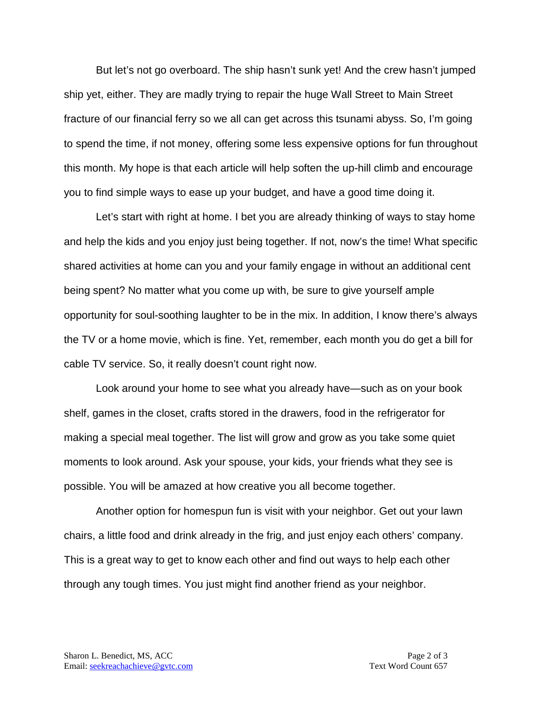But let's not go overboard. The ship hasn't sunk yet! And the crew hasn't jumped ship yet, either. They are madly trying to repair the huge Wall Street to Main Street fracture of our financial ferry so we all can get across this tsunami abyss. So, I'm going to spend the time, if not money, offering some less expensive options for fun throughout this month. My hope is that each article will help soften the up-hill climb and encourage you to find simple ways to ease up your budget, and have a good time doing it.

Let's start with right at home. I bet you are already thinking of ways to stay home and help the kids and you enjoy just being together. If not, now's the time! What specific shared activities at home can you and your family engage in without an additional cent being spent? No matter what you come up with, be sure to give yourself ample opportunity for soul-soothing laughter to be in the mix. In addition, I know there's always the TV or a home movie, which is fine. Yet, remember, each month you do get a bill for cable TV service. So, it really doesn't count right now.

Look around your home to see what you already have—such as on your book shelf, games in the closet, crafts stored in the drawers, food in the refrigerator for making a special meal together. The list will grow and grow as you take some quiet moments to look around. Ask your spouse, your kids, your friends what they see is possible. You will be amazed at how creative you all become together.

Another option for homespun fun is visit with your neighbor. Get out your lawn chairs, a little food and drink already in the frig, and just enjoy each others' company. This is a great way to get to know each other and find out ways to help each other through any tough times. You just might find another friend as your neighbor.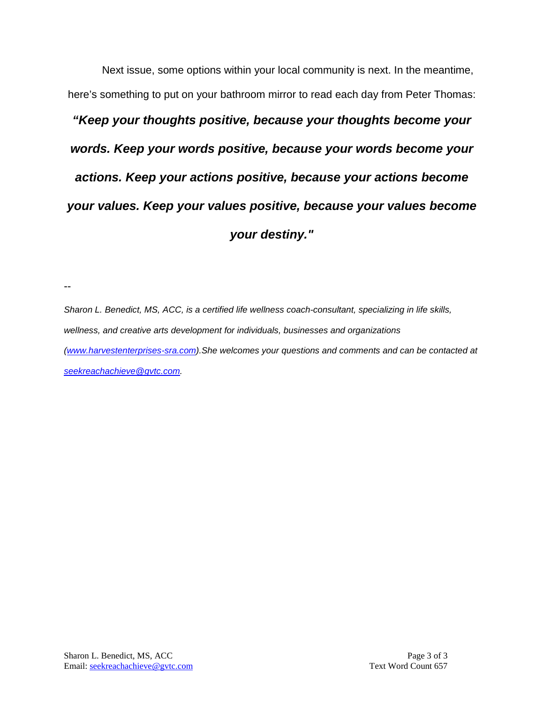Next issue, some options within your local community is next. In the meantime, here's something to put on your bathroom mirror to read each day from Peter Thomas:

# *"Keep your thoughts positive, because your thoughts become your words. Keep your words positive, because your words become your actions. Keep your actions positive, because your actions become your values. Keep your values positive, because your values become your destiny."*

--

*Sharon L. Benedict, MS, ACC, is a certified life wellness coach-consultant, specializing in life skills, wellness, and creative arts development for individuals, businesses and organizations [\(www.harvestenterprises-sra.com\)](http://www.harvestenterprises-sra.com/).She welcomes your questions and comments and can be contacted at [seekreachachieve@gvtc.com.](mailto:seekreachachieve@gvtc.com)*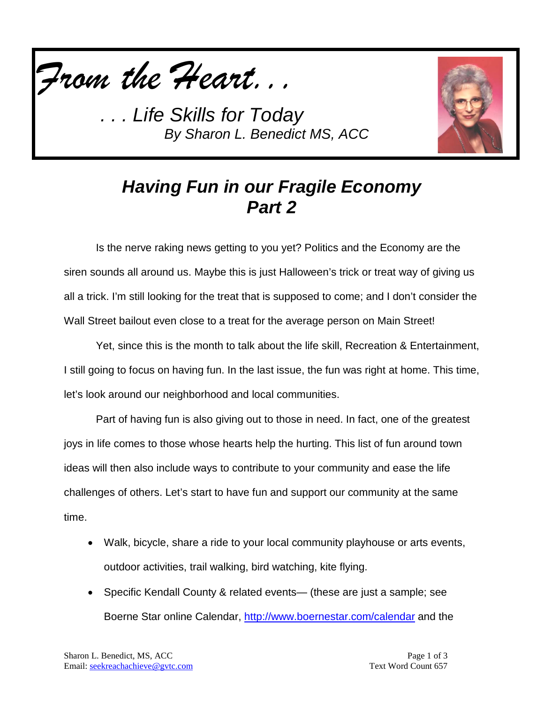



### *Having Fun in our Fragile Economy Part 2*

Is the nerve raking news getting to you yet? Politics and the Economy are the siren sounds all around us. Maybe this is just Halloween's trick or treat way of giving us all a trick. I'm still looking for the treat that is supposed to come; and I don't consider the Wall Street bailout even close to a treat for the average person on Main Street!

Yet, since this is the month to talk about the life skill, Recreation & Entertainment, I still going to focus on having fun. In the last issue, the fun was right at home. This time, let's look around our neighborhood and local communities.

Part of having fun is also giving out to those in need. In fact, one of the greatest joys in life comes to those whose hearts help the hurting. This list of fun around town ideas will then also include ways to contribute to your community and ease the life challenges of others. Let's start to have fun and support our community at the same time.

- Walk, bicycle, share a ride to your local community playhouse or arts events, outdoor activities, trail walking, bird watching, kite flying.
- Specific Kendall County & related events— (these are just a sample; see Boerne Star online Calendar,<http://www.boernestar.com/calendar> and the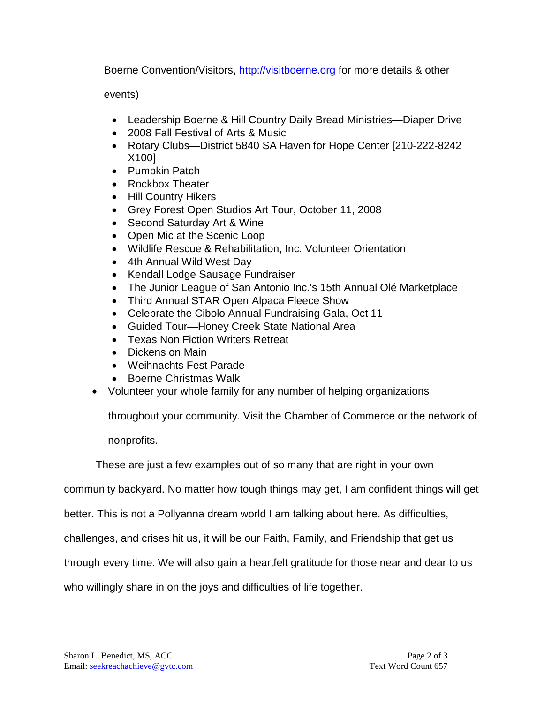Boerne Convention/Visitors, [http://visitboerne.org](http://visitboerne.org/) for more details & other

events)

- Leadership Boerne & Hill Country Daily Bread Ministries—Diaper Drive
- 2008 Fall Festival of Arts & Music
- Rotary Clubs—District 5840 SA Haven for Hope Center [210-222-8242 X100]
- [Pumpkin Patch](javascript:void(0))
- [Rockbox Theater](javascript:void(0))
- [Hill Country Hikers](javascript:void(0))
- [Grey Forest Open Studios Art Tour,](javascript:void(0)) October 11, 2008
- [Second Saturday Art & Wine](javascript:void(0))
- [Open Mic at the Scenic Loop](javascript:void(0))
- [Wildlife Rescue & Rehabilitation, Inc. Volunteer Orientation](javascript:void(0))
- [4th Annual Wild West Day](javascript:void(0))
- [Kendall Lodge Sausage Fundraiser](javascript:void(0))
- [The Junior League of San Antonio Inc.'s 15th Annual Olé Marketplace](javascript:void(0))
- [Third Annual STAR Open Alpaca Fleece Show](javascript:void(0))
- Celebrate the Cibolo Annual Fundraising Gala, Oct 11
- Guided Tour—Honey Creek State National Area
- Texas Non Fiction Writers Retreat
- Dickens on Main
- Weihnachts Fest Parade
- Boerne Christmas Walk
- Volunteer your whole family for any number of helping organizations

throughout your community. Visit the Chamber of Commerce or the network of

nonprofits.

These are just a few examples out of so many that are right in your own

community backyard. No matter how tough things may get, I am confident things will get

better. This is not a Pollyanna dream world I am talking about here. As difficulties,

challenges, and crises hit us, it will be our Faith, Family, and Friendship that get us

through every time. We will also gain a heartfelt gratitude for those near and dear to us

who willingly share in on the joys and difficulties of life together.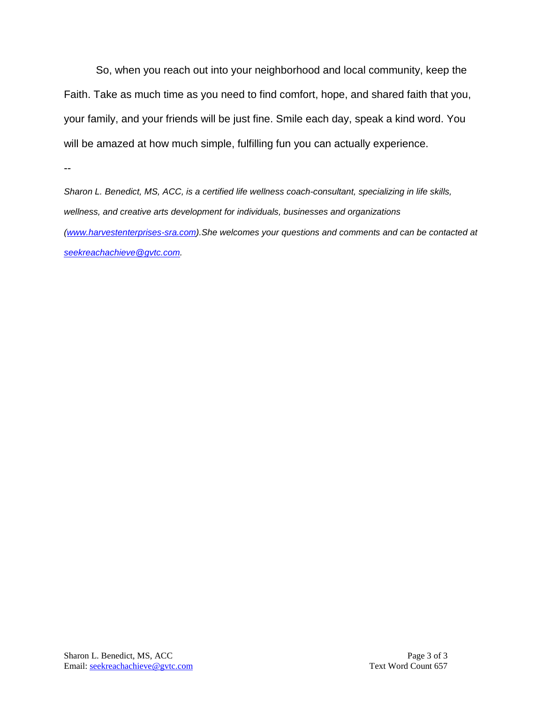So, when you reach out into your neighborhood and local community, keep the Faith. Take as much time as you need to find comfort, hope, and shared faith that you, your family, and your friends will be just fine. Smile each day, speak a kind word. You will be amazed at how much simple, fulfilling fun you can actually experience.

--

*Sharon L. Benedict, MS, ACC, is a certified life wellness coach-consultant, specializing in life skills, wellness, and creative arts development for individuals, businesses and organizations [\(www.harvestenterprises-sra.com\)](http://www.harvestenterprises-sra.com/).She welcomes your questions and comments and can be contacted at [seekreachachieve@gvtc.com.](mailto:seekreachachieve@gvtc.com)*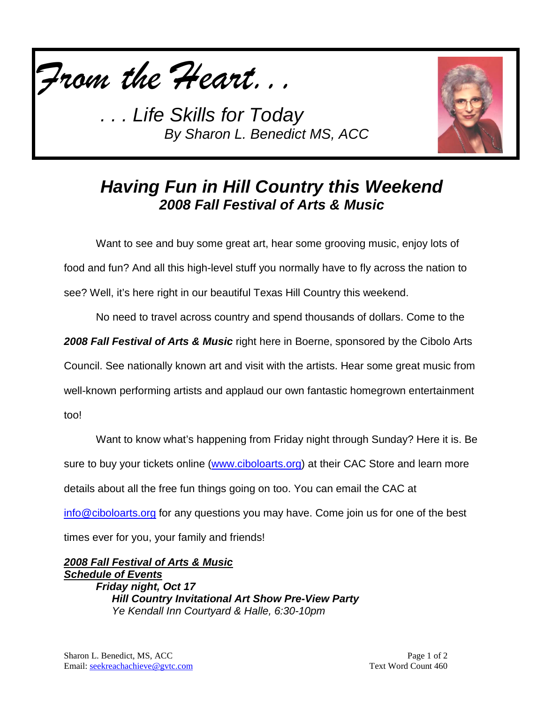



### *Having Fun in Hill Country this Weekend 2008 Fall Festival of Arts & Music*

Want to see and buy some great art, hear some grooving music, enjoy lots of food and fun? And all this high-level stuff you normally have to fly across the nation to see? Well, it's here right in our beautiful Texas Hill Country this weekend.

No need to travel across country and spend thousands of dollars. Come to the

*2008 Fall Festival of Arts & Music* right here in Boerne, sponsored by the Cibolo Arts

Council. See nationally known art and visit with the artists. Hear some great music from

well-known performing artists and applaud our own fantastic homegrown entertainment

too!

Want to know what's happening from Friday night through Sunday? Here it is. Be sure to buy your tickets online [\(www.ciboloarts.org\)](http://www.ciboloarts.org/) at their CAC Store and learn more details about all the free fun things going on too. You can email the CAC at [info@ciboloarts.org](mailto:info@ciboloarts.org) for any questions you may have. Come join us for one of the best times ever for you, your family and friends!

*2008 Fall Festival of Arts & Music Friday night, Oct 17 Schedule of Events Hill Country Invitational Art Show Pre-View Party Ye Kendall Inn Courtyard & Halle, 6:30-10pm*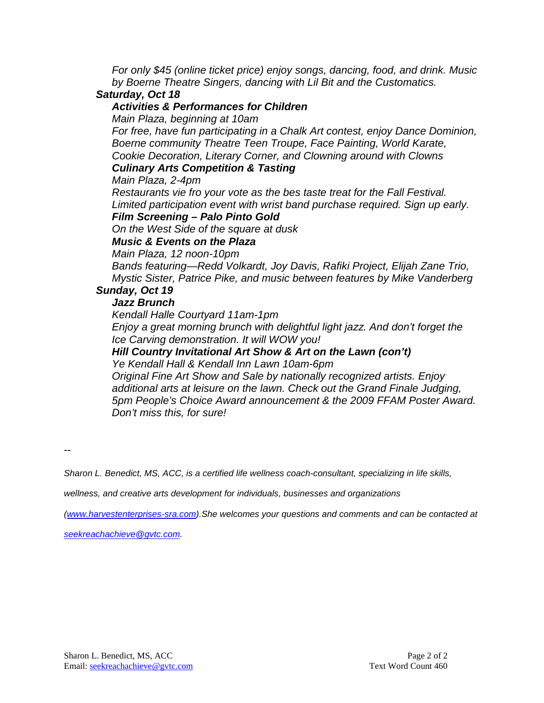*For only \$45 (online ticket price) enjoy songs, dancing, food, and drink. Music by Boerne Theatre Singers, dancing with Lil Bit and the Customatics.*

#### *Saturday, Oct 18*

#### *Activities & Performances for Children*

*Main Plaza, beginning at 10am*

*For free, have fun participating in a Chalk Art contest, enjoy Dance Dominion, Boerne community Theatre Teen Troupe, Face Painting, World Karate, Cookie Decoration, Literary Corner, and Clowning around with Clowns*

#### *Culinary Arts Competition & Tasting*

*Main Plaza, 2-4pm*

*Restaurants vie fro your vote as the bes taste treat for the Fall Festival. Limited participation event with wrist band purchase required. Sign up early.*

#### *Film Screening – Palo Pinto Gold*

*On the West Side of the square at dusk*

#### *Music & Events on the Plaza*

*Main Plaza, 12 noon-10pm Bands featuring—Redd Volkardt, Joy Davis, Rafiki Project, Elijah Zane Trio, Mystic Sister, Patrice Pike, and music between features by Mike Vanderberg*

#### *Sunday, Oct 19*

#### *Jazz Brunch*

*Kendall Halle Courtyard 11am-1pm Enjoy a great morning brunch with delightful light jazz. And don't forget the Ice Carving demonstration. It will WOW you!*

### *Hill Country Invitational Art Show & Art on the Lawn (con't)*

*Ye Kendall Hall & Kendall Inn Lawn 10am-6pm*

*Original Fine Art Show and Sale by nationally recognized artists. Enjoy additional arts at leisure on the lawn. Check out the Grand Finale Judging, 5pm People's Choice Award announcement & the 2009 FFAM Poster Award. Don't miss this, for sure!*

--

*Sharon L. Benedict, MS, ACC, is a certified life wellness coach-consultant, specializing in life skills,* 

*wellness, and creative arts development for individuals, businesses and organizations*

*[\(www.harvestenterprises-sra.com\)](http://www.harvestenterprises-sra.com/).She welcomes your questions and comments and can be contacted at* 

*[seekreachachieve@gvtc.com.](mailto:seekreachachieve@gvtc.com)*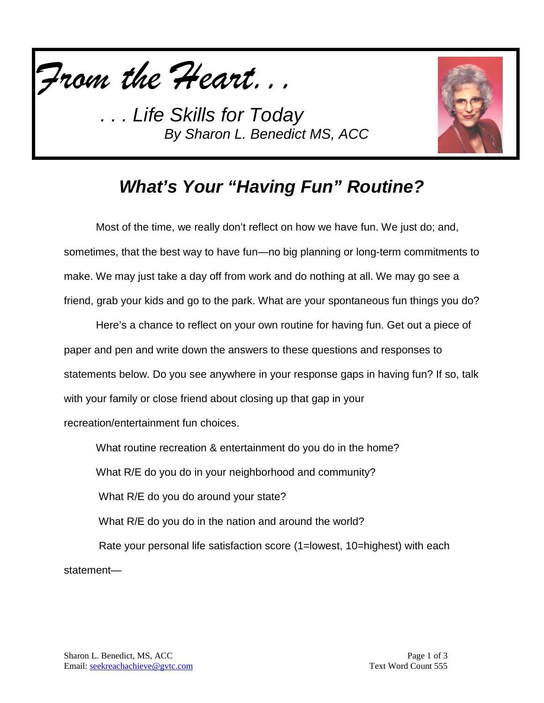



### *What's Your "Having Fun" Routine?*

Most of the time, we really don't reflect on how we have fun. We just do; and, sometimes, that the best way to have fun—no big planning or long-term commitments to make. We may just take a day off from work and do nothing at all. We may go see a friend, grab your kids and go to the park. What are your spontaneous fun things you do?

Here's a chance to reflect on your own routine for having fun. Get out a piece of paper and pen and write down the answers to these questions and responses to statements below. Do you see anywhere in your response gaps in having fun? If so, talk with your family or close friend about closing up that gap in your recreation/entertainment fun choices.

What routine recreation & entertainment do you do in the home?

What R/E do you do in your neighborhood and community?

What R/E do you do around your state?

What R/E do you do in the nation and around the world?

Rate your personal life satisfaction score (1=lowest, 10=highest) with each statement—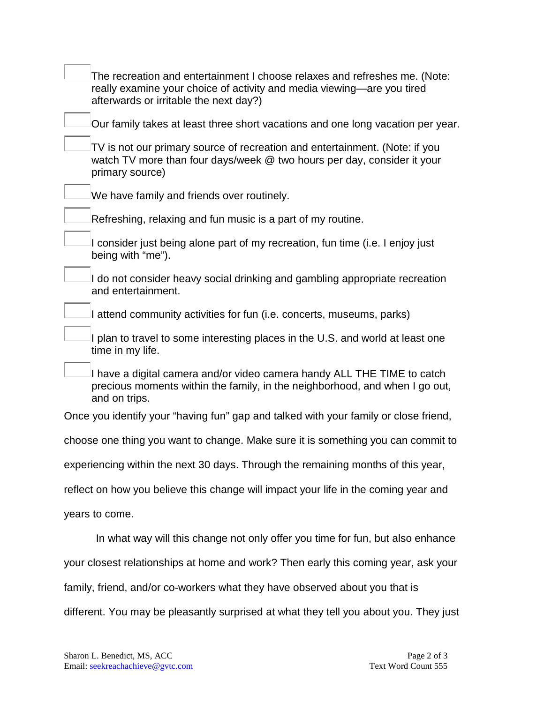| The recreation and entertainment I choose relaxes and refreshes me. (Note:<br>really examine your choice of activity and media viewing—are you tired<br>afterwards or irritable the next day?) |
|------------------------------------------------------------------------------------------------------------------------------------------------------------------------------------------------|
| Our family takes at least three short vacations and one long vacation per year.                                                                                                                |
| TV is not our primary source of recreation and entertainment. (Note: if you<br>watch TV more than four days/week @ two hours per day, consider it your<br>primary source)                      |
| We have family and friends over routinely.                                                                                                                                                     |
| Refreshing, relaxing and fun music is a part of my routine.                                                                                                                                    |
| I consider just being alone part of my recreation, fun time (i.e. I enjoy just<br>being with "me").                                                                                            |
| I do not consider heavy social drinking and gambling appropriate recreation<br>and entertainment.                                                                                              |
| I attend community activities for fun (i.e. concerts, museums, parks)                                                                                                                          |
| I plan to travel to some interesting places in the U.S. and world at least one<br>time in my life.                                                                                             |
| I have a digital camera and/or video camera handy ALL THE TIME to catch<br>precious moments within the family, in the neighborhood, and when I go out,<br>and on trips.                        |
| Once you identify your "having fun" gap and talked with your family or close friend,                                                                                                           |
| choose one thing you want to change. Make sure it is something you can commit to                                                                                                               |
| experiencing within the next 30 days. Through the remaining months of this year,                                                                                                               |
| reflect on how you believe this change will impact your life in the coming year and                                                                                                            |
| years to come.                                                                                                                                                                                 |
| In what way will this change not only offer you time for fun, but also enhance                                                                                                                 |
| your closest relationships at home and work? Then early this coming year, ask your                                                                                                             |
| family, friend, and/or co-workers what they have observed about you that is                                                                                                                    |

different. You may be pleasantly surprised at what they tell you about you. They just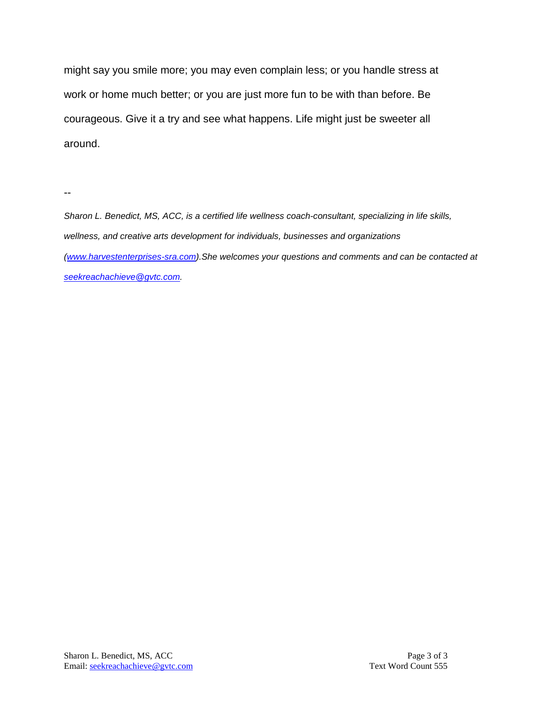might say you smile more; you may even complain less; or you handle stress at work or home much better; or you are just more fun to be with than before. Be courageous. Give it a try and see what happens. Life might just be sweeter all around.

--

*Sharon L. Benedict, MS, ACC, is a certified life wellness coach-consultant, specializing in life skills, wellness, and creative arts development for individuals, businesses and organizations [\(www.harvestenterprises-sra.com\)](http://www.harvestenterprises-sra.com/).She welcomes your questions and comments and can be contacted at [seekreachachieve@gvtc.com.](mailto:seekreachachieve@gvtc.com)*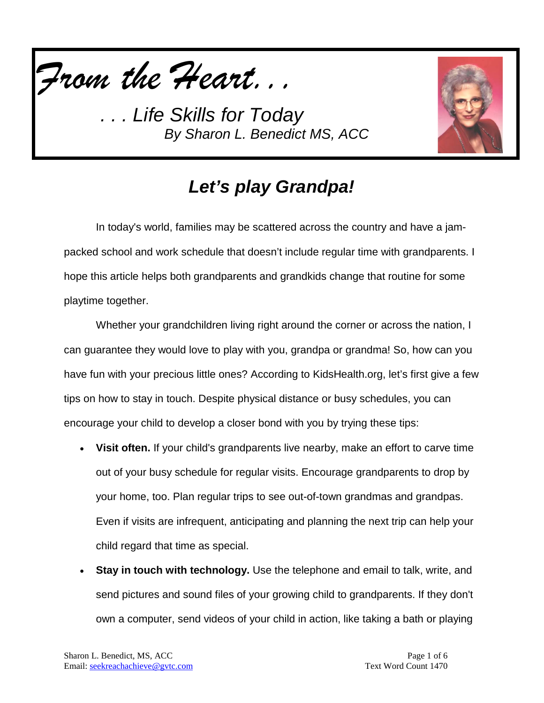



## *Let's play Grandpa!*

In today's world, families may be scattered across the country and have a jampacked school and work schedule that doesn't include regular time with grandparents. I hope this article helps both grandparents and grandkids change that routine for some playtime together.

Whether your grandchildren living right around the corner or across the nation, I can guarantee they would love to play with you, grandpa or grandma! So, how can you have fun with your precious little ones? According to KidsHealth.org, let's first give a few tips on how to stay in touch. Despite physical distance or busy schedules, you can encourage your child to develop a closer bond with you by trying these tips:

- **Visit often.** If your child's grandparents live nearby, make an effort to carve time out of your busy schedule for regular visits. Encourage grandparents to drop by your home, too. Plan regular trips to see out-of-town grandmas and grandpas. Even if visits are infrequent, anticipating and planning the next trip can help your child regard that time as special.
- **Stay in touch with technology.** Use the telephone and email to talk, write, and send pictures and sound files of your growing child to grandparents. If they don't own a computer, send videos of your child in action, like taking a bath or playing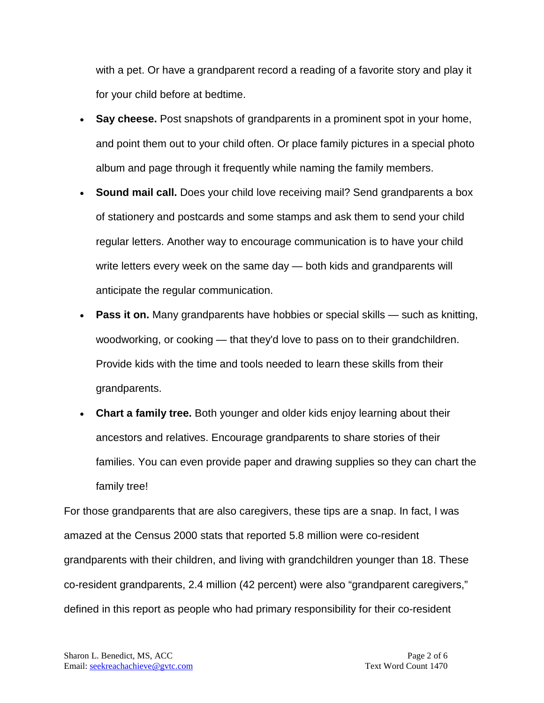with a pet. Or have a grandparent record a reading of a favorite story and play it for your child before at bedtime.

- **Say cheese.** Post snapshots of grandparents in a prominent spot in your home, and point them out to your child often. Or place family pictures in a special photo album and page through it frequently while naming the family members.
- **Sound mail call.** Does your child love receiving mail? Send grandparents a box of stationery and postcards and some stamps and ask them to send your child regular letters. Another way to encourage communication is to have your child write letters every week on the same day — both kids and grandparents will anticipate the regular communication.
- **Pass it on.** Many grandparents have hobbies or special skills such as knitting, woodworking, or cooking — that they'd love to pass on to their grandchildren. Provide kids with the time and tools needed to learn these skills from their grandparents.
- **Chart a family tree.** Both younger and older kids enjoy learning about their ancestors and relatives. Encourage grandparents to share stories of their families. You can even provide paper and drawing supplies so they can chart the family tree!

For those grandparents that are also caregivers, these tips are a snap. In fact, I was amazed at the Census 2000 stats that reported 5.8 million were co-resident grandparents with their children, and living with grandchildren younger than 18. These co-resident grandparents, 2.4 million (42 percent) were also "grandparent caregivers," defined in this report as people who had primary responsibility for their co-resident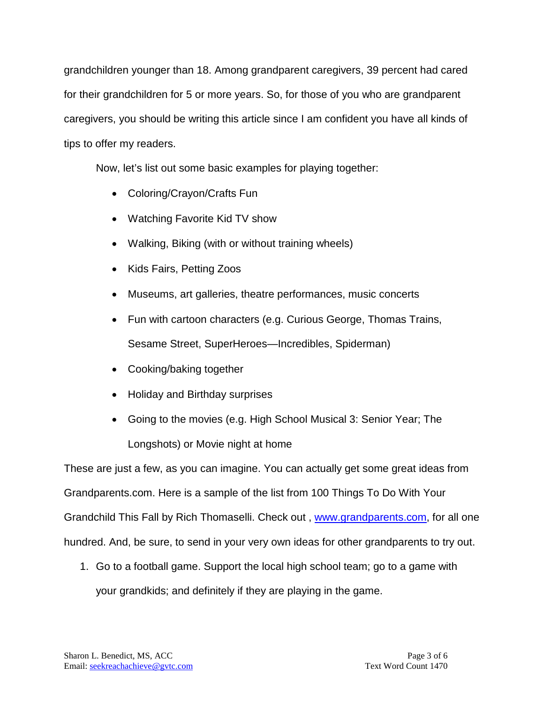grandchildren younger than 18. Among grandparent caregivers, 39 percent had cared for their grandchildren for 5 or more years. So, for those of you who are grandparent caregivers, you should be writing this article since I am confident you have all kinds of tips to offer my readers.

Now, let's list out some basic examples for playing together:

- Coloring/Crayon/Crafts Fun
- Watching Favorite Kid TV show
- Walking, Biking (with or without training wheels)
- Kids Fairs, Petting Zoos
- Museums, art galleries, theatre performances, music concerts
- Fun with cartoon characters (e.g. Curious George, Thomas Trains, Sesame Street, SuperHeroes—Incredibles, Spiderman)
- Cooking/baking together
- Holiday and Birthday surprises
- Going to the movies (e.g. High School Musical 3: Senior Year; The Longshots) or Movie night at home

These are just a few, as you can imagine. You can actually get some great ideas from Grandparents.com. Here is a sample of the list from 100 Things To Do With Your Grandchild This Fall by Rich Thomaselli. Check out , [www.grandparents.com,](http://www.grandparents.com/) for all one hundred. And, be sure, to send in your very own ideas for other grandparents to try out.

1. Go to a football game. Support the local high school team; go to a game with your grandkids; and definitely if they are playing in the game.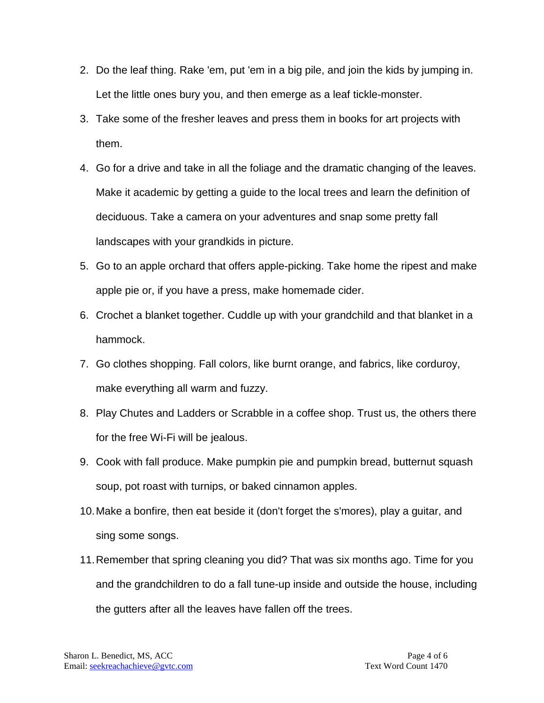- 2. Do the leaf thing. Rake 'em, put 'em in a big pile, and join the kids by jumping in. Let the little ones bury you, and then emerge as a leaf tickle-monster.
- 3. Take some of the fresher leaves and press them in books for art projects with them.
- 4. Go for a drive and take in all the foliage and the dramatic changing of the leaves. Make it academic by getting a guide to the local trees and learn the definition of deciduous. Take a camera on your adventures and snap some pretty fall landscapes with your grandkids in picture.
- 5. Go to an apple orchard that offers apple-picking. Take home the ripest and make apple pie or, if you have a press, make homemade cider.
- 6. Crochet a blanket together. Cuddle up with your grandchild and that blanket in a hammock.
- 7. Go clothes shopping. Fall colors, like burnt orange, and fabrics, like corduroy, make everything all warm and fuzzy.
- 8. Play Chutes and Ladders or Scrabble in a coffee shop. Trust us, the others there for the free Wi-Fi will be jealous.
- 9. Cook with fall produce. Make pumpkin pie and pumpkin bread, butternut squash soup, pot roast with turnips, or baked cinnamon apples.
- 10.Make a bonfire, then eat beside it (don't forget the s'mores), play a guitar, and sing some songs.
- 11.Remember that spring cleaning you did? That was six months ago. Time for you and the grandchildren to do a fall tune-up inside and outside the house, including the gutters after all the leaves have fallen off the trees.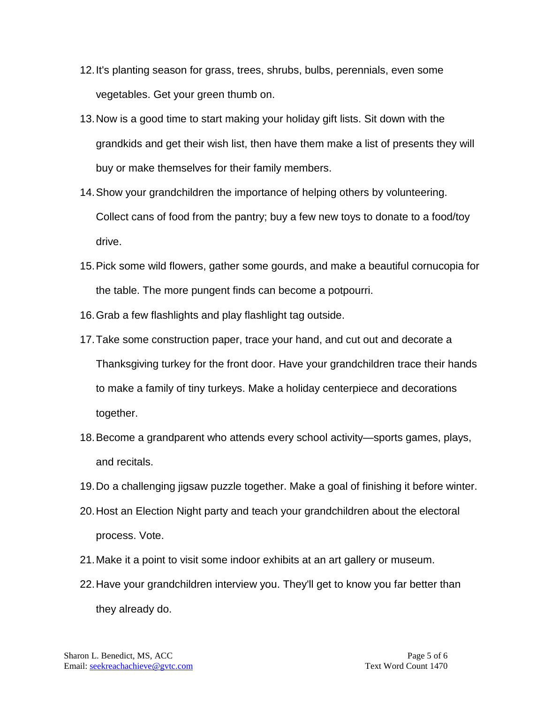- 12.It's planting season for grass, trees, shrubs, bulbs, perennials, even some vegetables. Get your green thumb on.
- 13.Now is a good time to start making your holiday gift lists. Sit down with the grandkids and get their wish list, then have them make a list of presents they will buy or make themselves for their family members.
- 14.Show your grandchildren the importance of helping others by volunteering. Collect cans of food from the pantry; buy a few new toys to donate to a food/toy drive.
- 15.Pick some wild flowers, gather some gourds, and make a beautiful cornucopia for the table. The more pungent finds can become a potpourri.
- 16.Grab a few flashlights and play flashlight tag outside.
- 17.Take some construction paper, trace your hand, and cut out and decorate a Thanksgiving turkey for the front door. Have your grandchildren trace their hands to make a family of tiny turkeys. Make a holiday centerpiece and decorations together.
- 18.Become a grandparent who attends every school activity—sports games, plays, and recitals.
- 19.Do a challenging jigsaw puzzle together. Make a goal of finishing it before winter.
- 20.Host an Election Night party and teach your grandchildren about the electoral process. Vote.
- 21.Make it a point to visit some indoor exhibits at an art gallery or museum.
- 22.Have your grandchildren interview you. They'll get to know you far better than they already do.